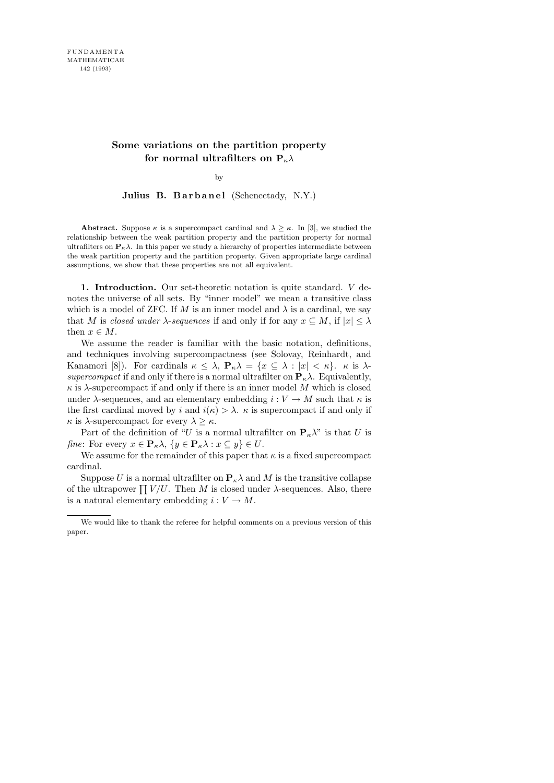# **Some variations on the partition property for normal ultrafilters on**  $P_{\kappa} \lambda$

by

Julius B. Barbanel (Schenectady, N.Y.)

**Abstract.** Suppose  $\kappa$  is a supercompact cardinal and  $\lambda \geq \kappa$ . In [3], we studied the relationship between the weak partition property and the partition property for normal ultrafilters on  $P_{\kappa} \lambda$ . In this paper we study a hierarchy of properties intermediate between the weak partition property and the partition property. Given appropriate large cardinal assumptions, we show that these properties are not all equivalent.

1. Introduction. Our set-theoretic notation is quite standard. V denotes the universe of all sets. By "inner model" we mean a transitive class which is a model of ZFC. If M is an inner model and  $\lambda$  is a cardinal, we say that M is closed under  $\lambda$ -sequences if and only if for any  $x \subseteq M$ , if  $|x| \leq \lambda$ then  $x \in M$ .

We assume the reader is familiar with the basic notation, definitions, and techniques involving supercompactness (see Solovay, Reinhardt, and Kanamori [8]). For cardinals  $\kappa \leq \lambda$ ,  $P_{\kappa}\lambda = \{x \subseteq \lambda : |x| < \kappa\}$ .  $\kappa$  is  $\lambda$ supercompact if and only if there is a normal ultrafilter on  $P_{\kappa} \lambda$ . Equivalently,  $\kappa$  is  $\lambda$ -supercompact if and only if there is an inner model M which is closed under  $\lambda$ -sequences, and an elementary embedding  $i: V \to M$  such that  $\kappa$  is the first cardinal moved by i and  $i(\kappa) > \lambda$ .  $\kappa$  is supercompact if and only if  $\kappa$  is  $\lambda$ -supercompact for every  $\lambda \geq \kappa$ .

Part of the definition of "U is a normal ultrafilter on  $P_{\kappa} \lambda$ " is that U is *fine*: For every  $x \in \mathbf{P}_{\kappa} \lambda$ ,  $\{y \in \mathbf{P}_{\kappa} \lambda : x \subseteq y\} \in U$ .

We assume for the remainder of this paper that  $\kappa$  is a fixed supercompact cardinal.

Suppose U is a normal ultrafilter on  $\mathbf{P}_{\kappa}\lambda$  and M is the transitive collapse of the ultrapower  $\prod V/U$ . Then M is closed under  $\lambda$ -sequences. Also, there is a natural elementary embedding  $i: V \to M$ .

We would like to thank the referee for helpful comments on a previous version of this paper.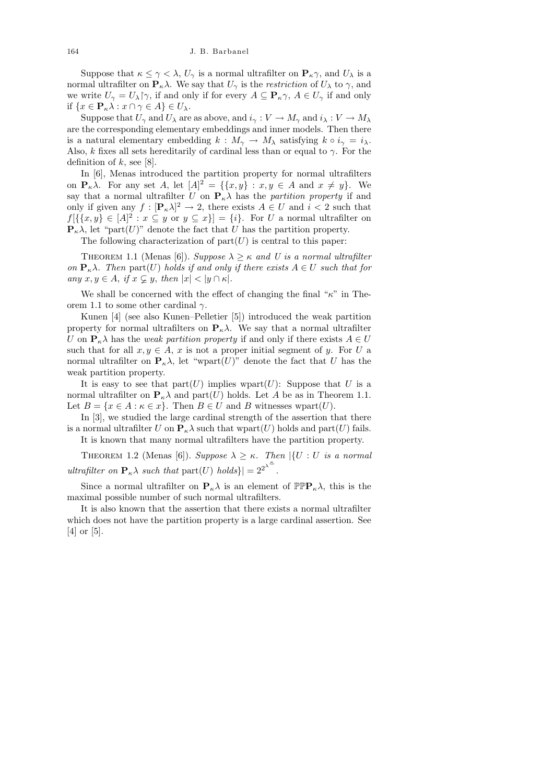Suppose that  $\kappa \leq \gamma < \lambda$ ,  $U_{\gamma}$  is a normal ultrafilter on  $\mathbf{P}_{\kappa}\gamma$ , and  $U_{\lambda}$  is a normal ultrafilter on  $\mathbf{P}_{\kappa}\lambda$ . We say that  $U_{\gamma}$  is the *restriction* of  $U_{\lambda}$  to  $\gamma$ , and we write  $U_{\gamma} = U_{\lambda} \gamma$ , if and only if for every  $A \subseteq \mathbf{P}_{\kappa} \gamma$ ,  $A \in U_{\gamma}$  if and only if  $\{x \in \mathbf{P}_{\kappa} \lambda : x \cap \gamma \in A\} \in U_{\lambda}$ .

Suppose that  $U_{\gamma}$  and  $U_{\lambda}$  are as above, and  $i_{\gamma}: V \to M_{\gamma}$  and  $i_{\lambda}: V \to M_{\lambda}$ are the corresponding elementary embeddings and inner models. Then there is a natural elementary embedding  $k : M_{\gamma} \to M_{\lambda}$  satisfying  $k \circ i_{\gamma} = i_{\lambda}$ . Also, k fixes all sets hereditarily of cardinal less than or equal to  $\gamma$ . For the definition of  $k$ , see [8].

In [6], Menas introduced the partition property for normal ultrafilters on  $\mathbf{P}_{\kappa}\lambda$ . For any set A, let  $[A]^2 = \{\{x, y\} : x, y \in A \text{ and } x \neq y\}$ . We say that a normal ultrafilter U on  $P_{\kappa} \lambda$  has the partition property if and only if given any  $f: [\mathbf{P}_{\kappa} \lambda]^2 \to 2$ , there exists  $A \in U$  and  $i < 2$  such that  $f[{x,y}\in [A]^2 : x \subseteq y \text{ or } y \subseteq x] = {i}.$  For U a normal ultrafilter on  ${\bf P}_{\kappa}\lambda$ , let "part(U)" denote the fact that U has the partition property.

The following characterization of  $part(U)$  is central to this paper:

THEOREM 1.1 (Menas [6]). Suppose  $\lambda \geq \kappa$  and U is a normal ultrafilter on  $\mathbf{P}_{\kappa}\lambda$ . Then part(U) holds if and only if there exists  $A \in U$  such that for any  $x, y \in A$ , if  $x \subsetneq y$ , then  $|x| < |y \cap \kappa|$ .

We shall be concerned with the effect of changing the final " $\kappa$ " in Theorem 1.1 to some other cardinal  $\gamma$ .

Kunen [4] (see also Kunen–Pelletier [5]) introduced the weak partition property for normal ultrafilters on  $P_{\kappa}\lambda$ . We say that a normal ultrafilter U on  $P_{\kappa} \lambda$  has the *weak partition property* if and only if there exists  $A \in U$ such that for all  $x, y \in A$ , x is not a proper initial segment of y. For U a normal ultrafilter on  $\mathbf{P}_{\kappa}\lambda$ , let "wpart $(U)$ " denote the fact that U has the weak partition property.

It is easy to see that  $part(U)$  implies wpart $(U)$ : Suppose that U is a normal ultrafilter on  $\mathbf{P}_{\kappa}\lambda$  and part(U) holds. Let A be as in Theorem 1.1. Let  $B = \{x \in A : \kappa \in x\}$ . Then  $B \in U$  and B witnesses wpart $(U)$ .

In [3], we studied the large cardinal strength of the assertion that there is a normal ultrafilter U on  $\mathbf{P}_{\kappa}\lambda$  such that wpart $(U)$  holds and part $(U)$  fails. It is known that many normal ultrafilters have the partition property.

THEOREM 1.2 (Menas [6]). Suppose  $\lambda \geq \kappa$ . Then  $|\{U : U \text{ is a normal}\}\|$ ultrafilter on  $\mathbf{P}_{\kappa} \lambda$  such that  $\text{part}(U)$  holds} =  $2^{2^{\lambda^{\infty}}}$ .

Since a normal ultrafilter on  $P_{\kappa}\lambda$  is an element of  $\mathbb{PPP}_{\kappa}\lambda$ , this is the maximal possible number of such normal ultrafilters.

It is also known that the assertion that there exists a normal ultrafilter which does not have the partition property is a large cardinal assertion. See [4] or [5].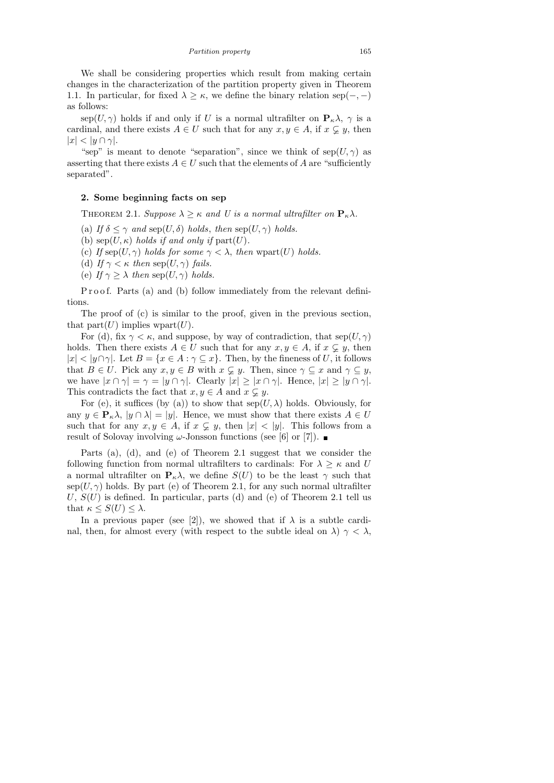We shall be considering properties which result from making certain changes in the characterization of the partition property given in Theorem 1.1. In particular, for fixed  $\lambda \geq \kappa$ , we define the binary relation sep(-,-) as follows:

sep(U,  $\gamma$ ) holds if and only if U is a normal ultrafilter on  $P_{\kappa}\lambda$ ,  $\gamma$  is a cardinal, and there exists  $A \in U$  such that for any  $x, y \in A$ , if  $x \subsetneq y$ , then  $|x| < |y \cap \gamma|$ .

"sep" is meant to denote "separation", since we think of  $\text{sep}(U, \gamma)$  as asserting that there exists  $A \in U$  such that the elements of A are "sufficiently" separated".

### 2. Some beginning facts on sep

THEOREM 2.1. Suppose  $\lambda \geq \kappa$  and U is a normal ultrafilter on  $P_{\kappa}\lambda$ .

- (a) If  $\delta \leq \gamma$  and sep(U,  $\delta$ ) holds, then sep(U,  $\gamma$ ) holds.
- (b)  $\text{sep}(U, \kappa)$  holds if and only if  $\text{part}(U)$ .
- (c) If  $\text{sep}(U, \gamma)$  holds for some  $\gamma < \lambda$ , then wpart $(U)$  holds.
- (d) If  $\gamma < \kappa$  then sep(U,  $\gamma$ ) fails.
- (e) If  $\gamma \geq \lambda$  then sep $(U, \gamma)$  holds.

P r o o f. Parts (a) and (b) follow immediately from the relevant definitions.

The proof of (c) is similar to the proof, given in the previous section, that  $part(U)$  implies wpart $(U)$ .

For (d), fix  $\gamma < \kappa$ , and suppose, by way of contradiction, that  $\text{sep}(U, \gamma)$ holds. Then there exists  $A \in U$  such that for any  $x, y \in A$ , if  $x \subsetneq y$ , then  $|x| < |y \cap \gamma|$ . Let  $B = \{x \in A : \gamma \subseteq x\}$ . Then, by the fineness of U, it follows that  $B \in U$ . Pick any  $x, y \in B$  with  $x \subsetneq y$ . Then, since  $\gamma \subseteq x$  and  $\gamma \subseteq y$ , we have  $|x \cap \gamma| = \gamma = |y \cap \gamma|$ . Clearly  $|x| \geq |x \cap \gamma|$ . Hence,  $|x| \geq |y \cap \gamma|$ . This contradicts the fact that  $x, y \in A$  and  $x \subsetneq y$ .

For (e), it suffices (by (a)) to show that  $\text{sep}(U, \lambda)$  holds. Obviously, for any  $y \in \mathbf{P}_{\kappa} \lambda$ ,  $|y \cap \lambda| = |y|$ . Hence, we must show that there exists  $A \in U$ such that for any  $x, y \in A$ , if  $x \subsetneq y$ , then  $|x| < |y|$ . This follows from a result of Solovay involving  $\omega$ -Jonsson functions (see [6] or [7]).

Parts (a), (d), and (e) of Theorem 2.1 suggest that we consider the following function from normal ultrafilters to cardinals: For  $\lambda > \kappa$  and U a normal ultrafilter on  $P_{\kappa}\lambda$ , we define  $S(U)$  to be the least  $\gamma$  such that  $\text{sep}(U, \gamma)$  holds. By part (e) of Theorem 2.1, for any such normal ultrafilter U,  $S(U)$  is defined. In particular, parts (d) and (e) of Theorem 2.1 tell us that  $\kappa \leq S(U) \leq \lambda$ .

In a previous paper (see [2]), we showed that if  $\lambda$  is a subtle cardinal, then, for almost every (with respect to the subtle ideal on  $\lambda$ )  $\gamma < \lambda$ ,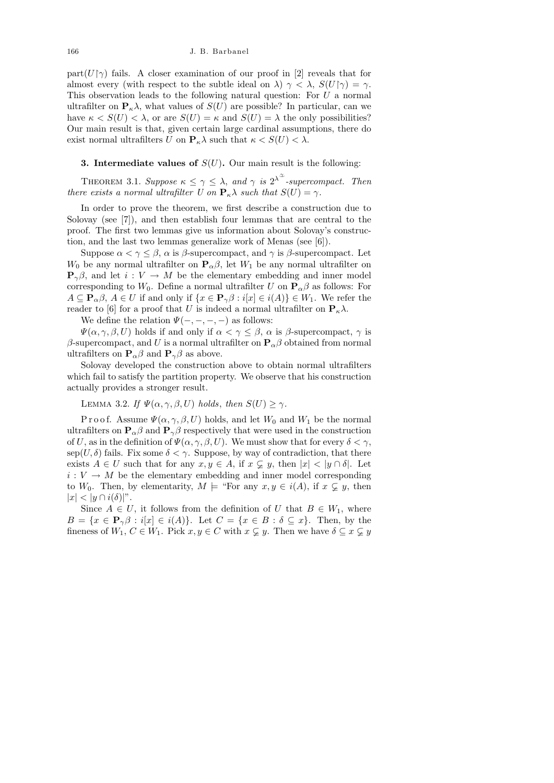#### 166 J. B. Barbanel

part( $U\gamma$ ) fails. A closer examination of our proof in [2] reveals that for almost every (with respect to the subtle ideal on  $\lambda$ )  $\gamma < \lambda$ ,  $S(U|\gamma) = \gamma$ . This observation leads to the following natural question: For U a normal ultrafilter on  $P_{\kappa} \lambda$ , what values of  $S(U)$  are possible? In particular, can we have  $\kappa < S(U) < \lambda$ , or are  $S(U) = \kappa$  and  $S(U) = \lambda$  the only possibilities? Our main result is that, given certain large cardinal assumptions, there do exist normal ultrafilters U on  $P_{\kappa} \lambda$  such that  $\kappa < S(U) < \lambda$ .

## **3. Intermediate values of**  $S(U)$ . Our main result is the following:

THEOREM 3.1. Suppose  $\kappa \leq \gamma \leq \lambda$ , and  $\gamma$  is  $2^{\lambda^{\infty}}$ -supercompact. Then there exists a normal ultrafilter U on  $\mathbf{P}_{\kappa}\lambda$  such that  $S(U) = \gamma$ .

In order to prove the theorem, we first describe a construction due to Solovay (see [7]), and then establish four lemmas that are central to the proof. The first two lemmas give us information about Solovay's construction, and the last two lemmas generalize work of Menas (see [6]).

Suppose  $\alpha < \gamma \leq \beta$ ,  $\alpha$  is  $\beta$ -supercompact, and  $\gamma$  is  $\beta$ -supercompact. Let  $W_0$  be any normal ultrafilter on  $\mathbf{P}_{\alpha} \beta$ , let  $W_1$  be any normal ultrafilter on  $\mathbf{P}_{\gamma}\beta$ , and let  $i: V \to M$  be the elementary embedding and inner model corresponding to  $W_0$ . Define a normal ultrafilter U on  $\mathbf{P}_{\alpha}\beta$  as follows: For  $A \subseteq \mathbf{P}_{\alpha}\beta, A \in U$  if and only if  $\{x \in \mathbf{P}_{\gamma}\beta : i[x] \in i(A)\} \in W_1$ . We refer the reader to [6] for a proof that U is indeed a normal ultrafilter on  $P_{\kappa}\lambda$ .

We define the relation  $\Psi(-, -, -, -)$  as follows:

 $\Psi(\alpha, \gamma, \beta, U)$  holds if and only if  $\alpha < \gamma \leq \beta$ ,  $\alpha$  is  $\beta$ -supercompact,  $\gamma$  is β-supercompact, and U is a normal ultrafilter on  ${\bf P}_\alpha$ β obtained from normal ultrafilters on  $P_{\alpha}\beta$  and  $P_{\gamma}\beta$  as above.

Solovay developed the construction above to obtain normal ultrafilters which fail to satisfy the partition property. We observe that his construction actually provides a stronger result.

LEMMA 3.2. If  $\Psi(\alpha, \gamma, \beta, U)$  holds, then  $S(U) \geq \gamma$ .

Proof. Assume  $\Psi(\alpha, \gamma, \beta, U)$  holds, and let  $W_0$  and  $W_1$  be the normal ultrafilters on  $\mathbf{P}_{\alpha}\beta$  and  $\mathbf{P}_{\gamma}\beta$  respectively that were used in the construction of U, as in the definition of  $\Psi(\alpha, \gamma, \beta, U)$ . We must show that for every  $\delta < \gamma$ , sep(U,  $\delta$ ) fails. Fix some  $\delta < \gamma$ . Suppose, by way of contradiction, that there exists  $A \in U$  such that for any  $x, y \in A$ , if  $x \subsetneq y$ , then  $|x| < |y \cap \delta|$ . Let  $i$  :  $V$   $\rightarrow$   $M$  be the elementary embedding and inner model corresponding to W<sub>0</sub>. Then, by elementarity,  $M \models$  "For any  $x, y \in i(A)$ , if  $x \subsetneq y$ , then  $|x| < |y \cap i(\delta)|^n$ .

Since  $A \in U$ , it follows from the definition of U that  $B \in W_1$ , where  $B = \{x \in \mathbf{P}_{\gamma}\beta : i[x] \in i(A)\}.$  Let  $C = \{x \in B : \delta \subseteq x\}.$  Then, by the fineness of  $W_1, C \in W_1$ . Pick  $x, y \in C$  with  $x \subsetneq y$ . Then we have  $\delta \subseteq x \subsetneq y$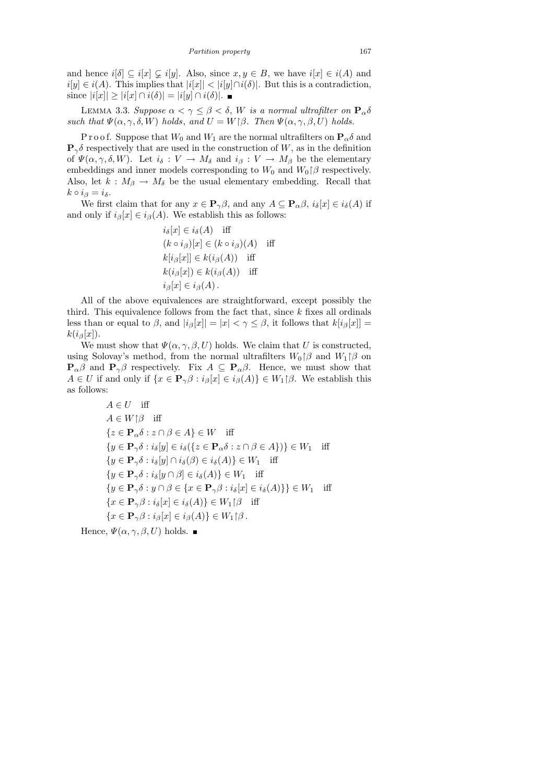and hence  $i[\delta] \subseteq i[x] \subsetneq i[y]$ . Also, since  $x, y \in B$ , we have  $i[x] \in i(A)$  and  $i[y] \in i(A)$ . This implies that  $|i[x]| < |i[y] \cap i(\delta)|$ . But this is a contradiction, since  $|i[x]| \geq |i[x] \cap i(\delta)| = |i[y] \cap i(\delta)|$ . ■

LEMMA 3.3. Suppose  $\alpha < \gamma \leq \beta < \delta$ , W is a normal ultrafilter on  $\mathbf{P}_{\alpha}\delta$ such that  $\Psi(\alpha, \gamma, \delta, W)$  holds, and  $U = W(\beta)$ . Then  $\Psi(\alpha, \gamma, \beta, U)$  holds.

P r o o f. Suppose that  $W_0$  and  $W_1$  are the normal ultrafilters on  $\mathbf{P}_{\alpha} \delta$  and  ${\bf P}_{\gamma}\delta$  respectively that are used in the construction of W, as in the definition of  $\Psi(\alpha, \gamma, \delta, W)$ . Let  $i_{\delta}: V \to M_{\delta}$  and  $i_{\beta}: V \to M_{\beta}$  be the elementary embeddings and inner models corresponding to  $W_0$  and  $W_0 \upharpoonright \beta$  respectively. Also, let  $k : M_\beta \to M_\delta$  be the usual elementary embedding. Recall that  $k \circ i_{\beta} = i_{\delta}.$ 

We first claim that for any  $x \in \mathbf{P}_{\gamma} \beta$ , and any  $A \subseteq \mathbf{P}_{\alpha} \beta$ ,  $i_{\delta}[x] \in i_{\delta}(A)$  if and only if  $i_{\beta}[x] \in i_{\beta}(A)$ . We establish this as follows:

$$
i_{\delta}[x] \in i_{\delta}(A) \quad \text{iff}
$$
  
\n
$$
(k \circ i_{\beta})[x] \in (k \circ i_{\beta})(A) \quad \text{iff}
$$
  
\n
$$
k[i_{\beta}[x]] \in k(i_{\beta}(A)) \quad \text{iff}
$$
  
\n
$$
k(i_{\beta}[x]) \in k(i_{\beta}(A)) \quad \text{iff}
$$
  
\n
$$
i_{\beta}[x] \in i_{\beta}(A).
$$

All of the above equivalences are straightforward, except possibly the third. This equivalence follows from the fact that, since  $k$  fixes all ordinals less than or equal to  $\beta$ , and  $|i_{\beta}[x]| = |x| < \gamma \leq \beta$ , it follows that  $k[i_{\beta}[x]] =$  $k(i_{\beta}[x]).$ 

We must show that  $\Psi(\alpha, \gamma, \beta, U)$  holds. We claim that U is constructed, using Solovay's method, from the normal ultrafilters  $W_0 \upharpoonright \beta$  and  $W_1 \upharpoonright \beta$  on  ${\bf P}_{\alpha}\beta$  and  ${\bf P}_{\gamma}\beta$  respectively. Fix  $A \subseteq {\bf P}_{\alpha}\beta$ . Hence, we must show that  $A \in U$  if and only if  $\{x \in \mathbf{P}_{\gamma} \beta : i_{\beta}[x] \in i_{\beta}(A)\}\in W_1 \upharpoonright \beta$ . We establish this as follows:

$$
A \in U \text{ iff}
$$
  
\n
$$
A \in W \mid \beta \text{ iff}
$$
  
\n
$$
\{z \in \mathbf{P}_{\alpha}\delta : z \cap \beta \in A\} \in W \text{ iff}
$$
  
\n
$$
\{y \in \mathbf{P}_{\gamma}\delta : i_{\delta}[y] \in i_{\delta}(\{z \in \mathbf{P}_{\alpha}\delta : z \cap \beta \in A\})\} \in W_1 \text{ iff}
$$
  
\n
$$
\{y \in \mathbf{P}_{\gamma}\delta : i_{\delta}[y] \cap i_{\delta}(\beta) \in i_{\delta}(A)\} \in W_1 \text{ iff}
$$
  
\n
$$
\{y \in \mathbf{P}_{\gamma}\delta : i_{\delta}[y \cap \beta] \in i_{\delta}(A)\} \in W_1 \text{ iff}
$$
  
\n
$$
\{y \in \mathbf{P}_{\gamma}\delta : y \cap \beta \in \{x \in \mathbf{P}_{\gamma}\beta : i_{\delta}[x] \in i_{\delta}(A)\} \in W_1 \text{ iff}
$$
  
\n
$$
\{x \in \mathbf{P}_{\gamma}\beta : i_{\delta}[x] \in i_{\delta}(A)\} \in W_1 \mid \beta \text{ iff}
$$
  
\n
$$
\{x \in \mathbf{P}_{\gamma}\beta : i_{\beta}[x] \in i_{\beta}(A)\} \in W_1 \mid \beta \text{ .}
$$

Hence,  $\Psi(\alpha, \gamma, \beta, U)$  holds.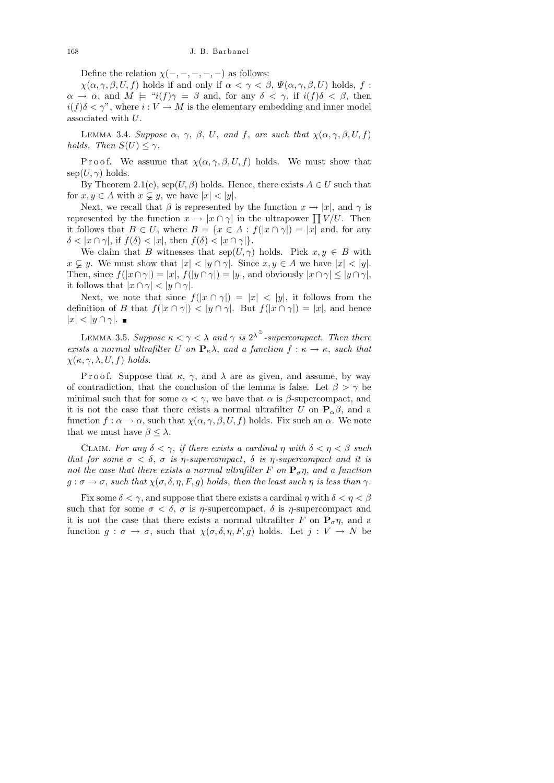Define the relation  $\chi(-, -, -, -, -)$  as follows:

 $\chi(\alpha, \gamma, \beta, U, f)$  holds if and only if  $\alpha < \gamma < \beta$ ,  $\Psi(\alpha, \gamma, \beta, U)$  holds, f:  $\alpha \to \alpha$ , and  $M \models "i(f)\gamma = \beta$  and, for any  $\delta < \gamma$ , if  $i(f)\delta < \beta$ , then  $i(f)\delta < \gamma$ ", where  $i: V \to M$  is the elementary embedding and inner model associated with U.

LEMMA 3.4. Suppose  $\alpha$ ,  $\gamma$ ,  $\beta$ , U, and f, are such that  $\chi(\alpha, \gamma, \beta, U, f)$ holds. Then  $S(U) \leq \gamma$ .

P r o o f. We assume that  $\chi(\alpha, \gamma, \beta, U, f)$  holds. We must show that  $\text{sep}(U, \gamma)$  holds.

By Theorem 2.1(e),  $\text{sep}(U, \beta)$  holds. Hence, there exists  $A \in U$  such that for  $x, y \in A$  with  $x \subsetneq y$ , we have  $|x| < |y|$ .

Next, we recall that  $\beta$  is represented by the function  $x \to |x|$ , and  $\gamma$  is represented by the function  $x \to |x \cap \gamma|$  in the ultrapower  $\prod V/U$ . Then it follows that  $B \in U$ , where  $B = \{x \in A : f(|x \cap \gamma|) = |x| \text{ and, for any }$  $\delta < |x \cap \gamma|$ , if  $f(\delta) < |x|$ , then  $f(\delta) < |x \cap \gamma|$ .

We claim that B witnesses that  $\text{sep}(U, \gamma)$  holds. Pick  $x, y \in B$  with  $x \subsetneq y$ . We must show that  $|x| < |y \cap \gamma|$ . Since  $x, y \in A$  we have  $|x| < |y|$ . Then, since  $f(|x \cap \gamma|) = |x|, f(|y \cap \gamma|) = |y|$ , and obviously  $|x \cap \gamma| \leq |y \cap \gamma|$ , it follows that  $|x \cap \gamma| < |y \cap \gamma|$ .

Next, we note that since  $f(|x \cap \gamma|) = |x| < |y|$ , it follows from the definition of B that  $f(|x \cap \gamma|) < |y \cap \gamma|$ . But  $f(|x \cap \gamma|) = |x|$ , and hence  $|x| < |y \cap \gamma|$ .

LEMMA 3.5. Suppose  $\kappa < \gamma < \lambda$  and  $\gamma$  is  $2^{\lambda^{\infty}}$ -supercompact. Then there exists a normal ultrafilter U on  $\mathbf{P}_{\kappa}\lambda$ , and a function  $f : \kappa \to \kappa$ , such that  $\chi(\kappa, \gamma, \lambda, U, f)$  holds.

Proof. Suppose that  $\kappa$ ,  $\gamma$ , and  $\lambda$  are as given, and assume, by way of contradiction, that the conclusion of the lemma is false. Let  $\beta > \gamma$  be minimal such that for some  $\alpha < \gamma$ , we have that  $\alpha$  is  $\beta$ -supercompact, and it is not the case that there exists a normal ultrafilter U on  $P_{\alpha}\beta$ , and a function  $f : \alpha \to \alpha$ , such that  $\chi(\alpha, \gamma, \beta, U, f)$  holds. Fix such an  $\alpha$ . We note that we must have  $\beta \leq \lambda$ .

CLAIM. For any  $\delta < \gamma$ , if there exists a cardinal  $\eta$  with  $\delta < \eta < \beta$  such that for some  $\sigma < \delta$ ,  $\sigma$  is  $\eta$ -supercompact,  $\delta$  is  $\eta$ -supercompact and it is not the case that there exists a normal ultrafilter F on  $P_{\sigma} \eta$ , and a function  $g : \sigma \to \sigma$ , such that  $\chi(\sigma, \delta, \eta, F, g)$  holds, then the least such  $\eta$  is less than  $\gamma$ .

Fix some  $\delta < \gamma$ , and suppose that there exists a cardinal  $\eta$  with  $\delta < \eta < \beta$ such that for some  $\sigma < \delta$ ,  $\sigma$  is  $\eta$ -supercompact,  $\delta$  is  $\eta$ -supercompact and it is not the case that there exists a normal ultrafilter F on  $P_{\sigma} \eta$ , and a function  $g : \sigma \to \sigma$ , such that  $\chi(\sigma, \delta, \eta, F, g)$  holds. Let  $j : V \to N$  be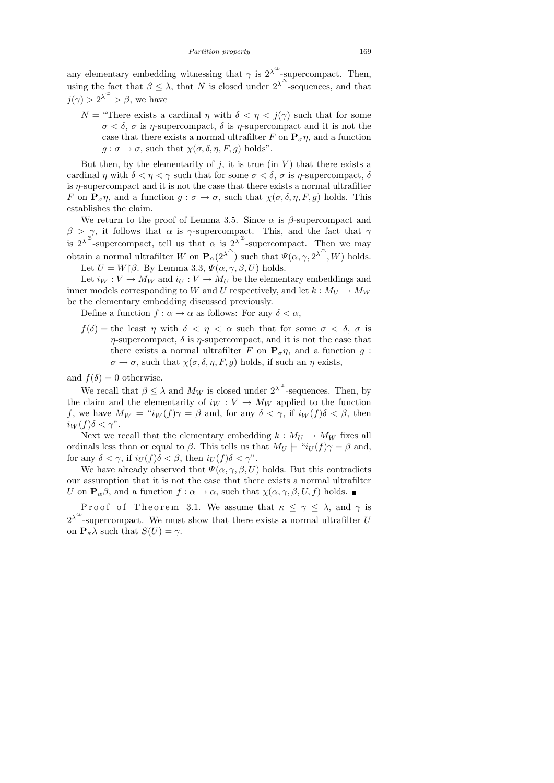any elementary embedding witnessing that  $\gamma$  is  $2^{\lambda^{\alpha}}$ -supercompact. Then, using the fact that  $\beta \leq \lambda$ , that N is closed under  $2^{\lambda^{\alpha}}$ -sequences, and that  $j(\gamma) > 2^{\lambda^{\alpha}} > \beta$ , we have

 $N \models$  "There exists a cardinal  $\eta$  with  $\delta < \eta < j(\gamma)$  such that for some  $\sigma < \delta$ ,  $\sigma$  is  $\eta$ -supercompact,  $\delta$  is  $\eta$ -supercompact and it is not the case that there exists a normal ultrafilter F on  ${\bf P}_{\sigma} \eta$ , and a function  $g : \sigma \to \sigma$ , such that  $\chi(\sigma, \delta, \eta, F, g)$  holds".

But then, by the elementarity of  $j$ , it is true (in  $V$ ) that there exists a cardinal  $\eta$  with  $\delta < \eta < \gamma$  such that for some  $\sigma < \delta$ ,  $\sigma$  is  $\eta$ -supercompact,  $\delta$ is  $\eta$ -supercompact and it is not the case that there exists a normal ultrafilter F on  $P_{\sigma} \eta$ , and a function  $g : \sigma \to \sigma$ , such that  $\chi(\sigma, \delta, \eta, F, g)$  holds. This establishes the claim.

We return to the proof of Lemma 3.5. Since  $\alpha$  is  $\beta$ -supercompact and  $\beta > \gamma$ , it follows that  $\alpha$  is  $\gamma$ -supercompact. This, and the fact that  $\gamma$ is  $2^{\lambda^{\alpha}}$ -supercompact, tell us that  $\alpha$  is  $2^{\lambda^{\alpha}}$ -supercompact. Then we may obtain a normal ultrafilter W on  $\mathbf{P}_{\alpha}(2^{\lambda^{\alpha}})$  such that  $\Psi(\alpha, \gamma, 2^{\lambda^{\alpha}}, W)$  holds. Let  $U = W | \beta$ . By Lemma 3.3,  $\Psi(\alpha, \gamma, \beta, U)$  holds.

Let  $i_W : V \to M_W$  and  $i_U : V \to M_U$  be the elementary embeddings and inner models corresponding to W and U respectively, and let  $k : M_U \to M_W$ be the elementary embedding discussed previously.

Define a function  $f : \alpha \to \alpha$  as follows: For any  $\delta < \alpha$ ,

 $f(\delta) =$  the least  $\eta$  with  $\delta < \eta < \alpha$  such that for some  $\sigma < \delta$ ,  $\sigma$  is  $\eta$ -supercompact,  $\delta$  is  $\eta$ -supercompact, and it is not the case that there exists a normal ultrafilter F on  $P_{\sigma} \eta$ , and a function g:  $\sigma \to \sigma$ , such that  $\chi(\sigma, \delta, \eta, F, g)$  holds, if such an  $\eta$  exists,

and  $f(\delta) = 0$  otherwise.

We recall that  $\beta \leq \lambda$  and  $M_W$  is closed under  $2^{\lambda^{\infty}}$ -sequences. Then, by the claim and the elementarity of  $i_W : V \to M_W$  applied to the function f, we have  $M_W \models "i_W(f)\gamma = \beta$  and, for any  $\delta < \gamma$ , if  $i_W(f)\delta < \beta$ , then  $i_W(f)\delta < \gamma$ ".

Next we recall that the elementary embedding  $k : M_U \to M_W$  fixes all ordinals less than or equal to  $\beta$ . This tells us that  $M_U \models "i_U(f)\gamma = \beta$  and, for any  $\delta < \gamma$ , if  $i_U(f)\delta < \beta$ , then  $i_U(f)\delta < \gamma$ ".

We have already observed that  $\Psi(\alpha, \gamma, \beta, U)$  holds. But this contradicts our assumption that it is not the case that there exists a normal ultrafilter U on  $\mathbf{P}_{\alpha}\beta$ , and a function  $f : \alpha \to \alpha$ , such that  $\chi(\alpha, \gamma, \beta, U, f)$  holds.

Proof of Theorem 3.1. We assume that  $\kappa \leq \gamma \leq \lambda$ , and  $\gamma$  is  $2^{\lambda^{\alpha}}$ -supercompact. We must show that there exists a normal ultrafilter U on  $P_{\kappa} \lambda$  such that  $S(U) = \gamma$ .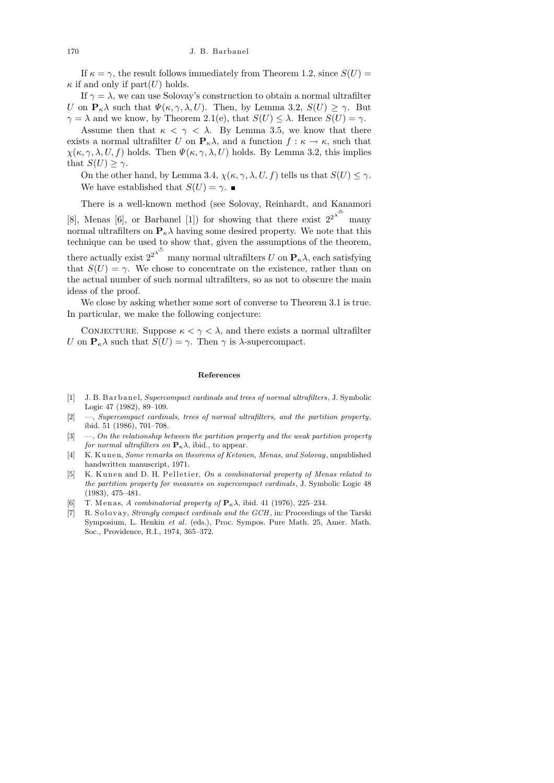If  $\kappa = \gamma$ , the result follows immediately from Theorem 1.2, since  $S(U)$  =  $\kappa$  if and only if part $(U)$  holds.

If  $\gamma = \lambda$ , we can use Solovay's construction to obtain a normal ultrafilter U on  $P_{\kappa} \lambda$  such that  $\Psi(\kappa, \gamma, \lambda, U)$ . Then, by Lemma 3.2,  $S(U) \geq \gamma$ . But  $\gamma = \lambda$  and we know, by Theorem 2.1(e), that  $S(U) \leq \lambda$ . Hence  $S(U) = \gamma$ .

Assume then that  $\kappa < \gamma < \lambda$ . By Lemma 3.5, we know that there exists a normal ultrafilter U on  $P_{\kappa}\lambda$ , and a function  $f : \kappa \to \kappa$ , such that  $\chi(\kappa, \gamma, \lambda, U, f)$  holds. Then  $\Psi(\kappa, \gamma, \lambda, U)$  holds. By Lemma 3.2, this implies that  $S(U) \geq \gamma$ .

On the other hand, by Lemma 3.4,  $\chi(\kappa, \gamma, \lambda, U, f)$  tells us that  $S(U) \leq \gamma$ . We have established that  $S(U) = \gamma$ .

There is a well-known method (see Solovay, Reinhardt, and Kanamori

[8], Menas [6], or Barbanel [1]) for showing that there exist  $2^{2^{\lambda^{\mathcal{L}}}}$ many normal ultrafilters on  $P_{\kappa} \lambda$  having some desired property. We note that this technique can be used to show that, given the assumptions of the theorem, there actually exist  $2^{2^{\lambda^{\mathcal{K}}}}$ many normal ultrafilters  $U$  on  $\mathbf{P}_{\kappa}\lambda$ , each satisfying that  $S(U) = \gamma$ . We chose to concentrate on the existence, rather than on the actual number of such normal ultrafilters, so as not to obscure the main ideas of the proof.

We close by asking whether some sort of converse to Theorem 3.1 is true. In particular, we make the following conjecture:

CONJECTURE. Suppose  $\kappa < \gamma < \lambda$ , and there exists a normal ultrafilter U on  $P_{\kappa} \lambda$  such that  $S(U) = \gamma$ . Then  $\gamma$  is  $\lambda$ -supercompact.

#### **References**

- [1] J. B. B a r b a n el, *Supercompact cardinals and trees of normal ultrafilters*, J. Symbolic Logic 47 (1982), 89–109.
- [2] —, *Supercompact cardinals, trees of normal ultrafilters, and the partition property*, ibid. 51 (1986), 701–708.
- [3] —, *On the relationship between the partition property and the weak partition property for normal ultrafilters on*  $P_k \lambda$ , ibid., to appear.
- [4] K. Kunen, *Some remarks on theorems of Ketonen, Menas, and Solovay*, unpublished handwritten manuscript, 1971.
- [5] K. Kunen and D. H. Pelletier, *On a combinatorial property of Menas related to the partition property for measures on supercompact cardinals*, J. Symbolic Logic 48 (1983), 475–481.
- [6] T. Menas, *A combinatorial property of*  $P_{\kappa} \lambda$ , ibid. 41 (1976), 225–234.
- [7] R. Solovay, *Strongly compact cardinals and the GCH*, in: Proceedings of the Tarski Symposium, L. Henkin *et al*. (eds.), Proc. Sympos. Pure Math. 25, Amer. Math. Soc., Providence, R.I., 1974, 365–372.